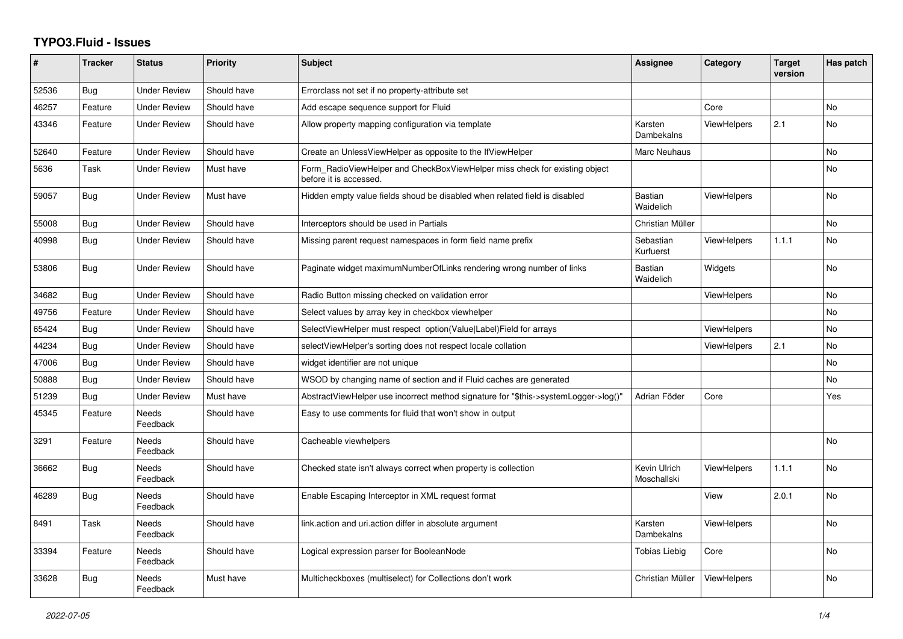## **TYPO3.Fluid - Issues**

| #     | <b>Tracker</b> | <b>Status</b>            | <b>Priority</b> | <b>Subject</b>                                                                                       | Assignee                    | Category           | Target<br>version | Has patch      |
|-------|----------------|--------------------------|-----------------|------------------------------------------------------------------------------------------------------|-----------------------------|--------------------|-------------------|----------------|
| 52536 | <b>Bug</b>     | <b>Under Review</b>      | Should have     | Errorclass not set if no property-attribute set                                                      |                             |                    |                   |                |
| 46257 | Feature        | Under Review             | Should have     | Add escape sequence support for Fluid                                                                |                             | Core               |                   | N <sub>o</sub> |
| 43346 | Feature        | <b>Under Review</b>      | Should have     | Allow property mapping configuration via template                                                    | Karsten<br>Dambekalns       | <b>ViewHelpers</b> | 2.1               | N <sub>o</sub> |
| 52640 | Feature        | <b>Under Review</b>      | Should have     | Create an UnlessViewHelper as opposite to the IfViewHelper                                           | <b>Marc Neuhaus</b>         |                    |                   | <b>No</b>      |
| 5636  | Task           | Under Review             | Must have       | Form RadioViewHelper and CheckBoxViewHelper miss check for existing object<br>before it is accessed. |                             |                    |                   | <b>No</b>      |
| 59057 | Bug            | <b>Under Review</b>      | Must have       | Hidden empty value fields shoud be disabled when related field is disabled                           | <b>Bastian</b><br>Waidelich | <b>ViewHelpers</b> |                   | <b>No</b>      |
| 55008 | <b>Bug</b>     | <b>Under Review</b>      | Should have     | Interceptors should be used in Partials                                                              | Christian Müller            |                    |                   | <b>No</b>      |
| 40998 | <b>Bug</b>     | Under Review             | Should have     | Missing parent request namespaces in form field name prefix                                          | Sebastian<br>Kurfuerst      | <b>ViewHelpers</b> | 1.1.1             | <b>No</b>      |
| 53806 | <b>Bug</b>     | <b>Under Review</b>      | Should have     | Paginate widget maximumNumberOfLinks rendering wrong number of links                                 | Bastian<br>Waidelich        | Widgets            |                   | No             |
| 34682 | <b>Bug</b>     | <b>Under Review</b>      | Should have     | Radio Button missing checked on validation error                                                     |                             | <b>ViewHelpers</b> |                   | <b>No</b>      |
| 49756 | Feature        | <b>Under Review</b>      | Should have     | Select values by array key in checkbox viewhelper                                                    |                             |                    |                   | N <sub>o</sub> |
| 65424 | <b>Bug</b>     | <b>Under Review</b>      | Should have     | SelectViewHelper must respect option(Value Label)Field for arrays                                    |                             | <b>ViewHelpers</b> |                   | <b>No</b>      |
| 44234 | <b>Bug</b>     | Under Review             | Should have     | selectViewHelper's sorting does not respect locale collation                                         |                             | ViewHelpers        | 2.1               | No             |
| 47006 | <b>Bug</b>     | <b>Under Review</b>      | Should have     | widget identifier are not unique                                                                     |                             |                    |                   | <b>No</b>      |
| 50888 | <b>Bug</b>     | <b>Under Review</b>      | Should have     | WSOD by changing name of section and if Fluid caches are generated                                   |                             |                    |                   | No             |
| 51239 | <b>Bug</b>     | <b>Under Review</b>      | Must have       | AbstractViewHelper use incorrect method signature for "\$this->systemLogger->log()"                  | Adrian Föder                | Core               |                   | Yes            |
| 45345 | Feature        | <b>Needs</b><br>Feedback | Should have     | Easy to use comments for fluid that won't show in output                                             |                             |                    |                   |                |
| 3291  | Feature        | Needs<br>Feedback        | Should have     | Cacheable viewhelpers                                                                                |                             |                    |                   | <b>No</b>      |
| 36662 | Bug            | Needs<br>Feedback        | Should have     | Checked state isn't always correct when property is collection                                       | Kevin Ulrich<br>Moschallski | <b>ViewHelpers</b> | 1.1.1             | <b>No</b>      |
| 46289 | <b>Bug</b>     | Needs<br>Feedback        | Should have     | Enable Escaping Interceptor in XML request format                                                    |                             | View               | 2.0.1             | <b>No</b>      |
| 8491  | Task           | <b>Needs</b><br>Feedback | Should have     | link.action and uri.action differ in absolute argument                                               | Karsten<br>Dambekalns       | <b>ViewHelpers</b> |                   | <b>No</b>      |
| 33394 | Feature        | Needs<br>Feedback        | Should have     | Logical expression parser for BooleanNode                                                            | Tobias Liebig               | Core               |                   | No             |
| 33628 | <b>Bug</b>     | Needs<br>Feedback        | Must have       | Multicheckboxes (multiselect) for Collections don't work                                             | Christian Müller            | <b>ViewHelpers</b> |                   | No             |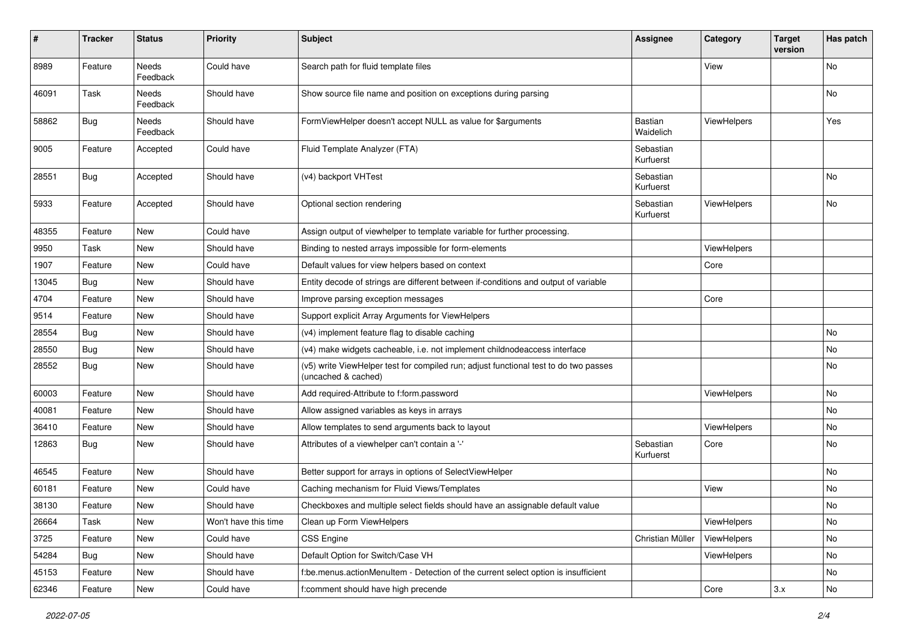| $\vert$ # | <b>Tracker</b> | <b>Status</b>     | <b>Priority</b>      | <b>Subject</b>                                                                                              | <b>Assignee</b>             | Category           | <b>Target</b><br>version | Has patch |
|-----------|----------------|-------------------|----------------------|-------------------------------------------------------------------------------------------------------------|-----------------------------|--------------------|--------------------------|-----------|
| 8989      | Feature        | Needs<br>Feedback | Could have           | Search path for fluid template files                                                                        |                             | View               |                          | <b>No</b> |
| 46091     | Task           | Needs<br>Feedback | Should have          | Show source file name and position on exceptions during parsing                                             |                             |                    |                          | No        |
| 58862     | Bug            | Needs<br>Feedback | Should have          | FormViewHelper doesn't accept NULL as value for \$arguments                                                 | <b>Bastian</b><br>Waidelich | ViewHelpers        |                          | Yes       |
| 9005      | Feature        | Accepted          | Could have           | Fluid Template Analyzer (FTA)                                                                               | Sebastian<br>Kurfuerst      |                    |                          |           |
| 28551     | <b>Bug</b>     | Accepted          | Should have          | (v4) backport VHTest                                                                                        | Sebastian<br>Kurfuerst      |                    |                          | No        |
| 5933      | Feature        | Accepted          | Should have          | Optional section rendering                                                                                  | Sebastian<br>Kurfuerst      | ViewHelpers        |                          | No        |
| 48355     | Feature        | New               | Could have           | Assign output of viewhelper to template variable for further processing.                                    |                             |                    |                          |           |
| 9950      | Task           | New               | Should have          | Binding to nested arrays impossible for form-elements                                                       |                             | ViewHelpers        |                          |           |
| 1907      | Feature        | New               | Could have           | Default values for view helpers based on context                                                            |                             | Core               |                          |           |
| 13045     | Bug            | New               | Should have          | Entity decode of strings are different between if-conditions and output of variable                         |                             |                    |                          |           |
| 4704      | Feature        | <b>New</b>        | Should have          | Improve parsing exception messages                                                                          |                             | Core               |                          |           |
| 9514      | Feature        | New               | Should have          | Support explicit Array Arguments for ViewHelpers                                                            |                             |                    |                          |           |
| 28554     | Bug            | New               | Should have          | (v4) implement feature flag to disable caching                                                              |                             |                    |                          | No        |
| 28550     | Bug            | New               | Should have          | (v4) make widgets cacheable, i.e. not implement childnodeaccess interface                                   |                             |                    |                          | <b>No</b> |
| 28552     | <b>Bug</b>     | New               | Should have          | (v5) write ViewHelper test for compiled run; adjust functional test to do two passes<br>(uncached & cached) |                             |                    |                          | No        |
| 60003     | Feature        | New               | Should have          | Add required-Attribute to f:form.password                                                                   |                             | <b>ViewHelpers</b> |                          | No        |
| 40081     | Feature        | New               | Should have          | Allow assigned variables as keys in arrays                                                                  |                             |                    |                          | No        |
| 36410     | Feature        | New               | Should have          | Allow templates to send arguments back to layout                                                            |                             | ViewHelpers        |                          | No        |
| 12863     | Bug            | New               | Should have          | Attributes of a viewhelper can't contain a '-'                                                              | Sebastian<br>Kurfuerst      | Core               |                          | No        |
| 46545     | Feature        | New               | Should have          | Better support for arrays in options of SelectViewHelper                                                    |                             |                    |                          | No        |
| 60181     | Feature        | New               | Could have           | Caching mechanism for Fluid Views/Templates                                                                 |                             | View               |                          | No        |
| 38130     | Feature        | New               | Should have          | Checkboxes and multiple select fields should have an assignable default value                               |                             |                    |                          | No        |
| 26664     | Task           | New               | Won't have this time | Clean up Form ViewHelpers                                                                                   |                             | ViewHelpers        |                          | No        |
| 3725      | Feature        | New               | Could have           | CSS Engine                                                                                                  | Christian Müller            | ViewHelpers        |                          | No        |
| 54284     | <b>Bug</b>     | New               | Should have          | Default Option for Switch/Case VH                                                                           |                             | ViewHelpers        |                          | No        |
| 45153     | Feature        | New               | Should have          | f:be.menus.actionMenuItem - Detection of the current select option is insufficient                          |                             |                    |                          | No        |
| 62346     | Feature        | New               | Could have           | f:comment should have high precende                                                                         |                             | Core               | 3.x                      | No        |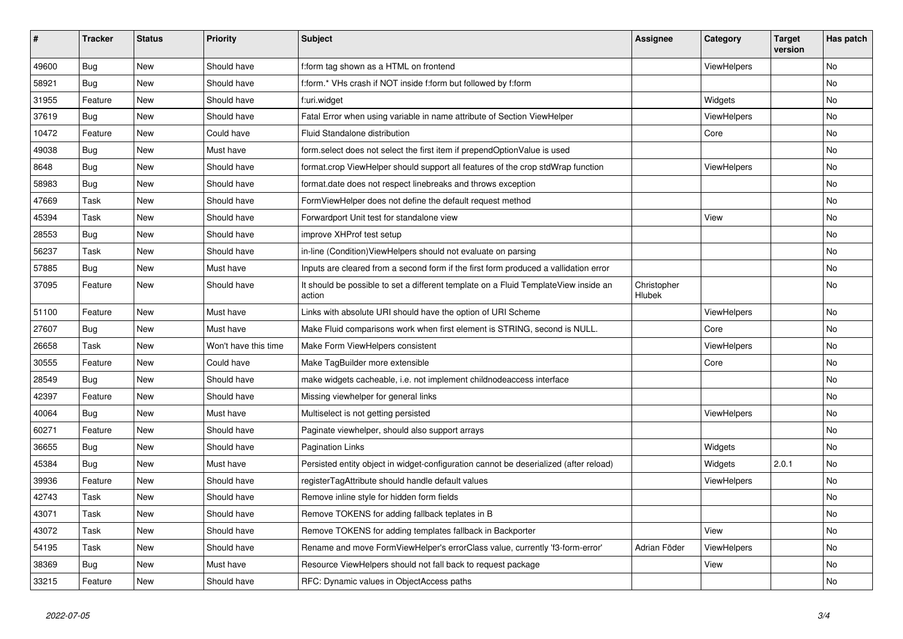| #     | <b>Tracker</b> | <b>Status</b> | <b>Priority</b>      | <b>Subject</b>                                                                                | <b>Assignee</b>       | Category           | <b>Target</b><br>version | Has patch |
|-------|----------------|---------------|----------------------|-----------------------------------------------------------------------------------------------|-----------------------|--------------------|--------------------------|-----------|
| 49600 | <b>Bug</b>     | <b>New</b>    | Should have          | f:form tag shown as a HTML on frontend                                                        |                       | ViewHelpers        |                          | <b>No</b> |
| 58921 | <b>Bug</b>     | New           | Should have          | f:form.* VHs crash if NOT inside f:form but followed by f:form                                |                       |                    |                          | No        |
| 31955 | Feature        | <b>New</b>    | Should have          | f:uri.widget                                                                                  |                       | Widgets            |                          | No        |
| 37619 | Bug            | <b>New</b>    | Should have          | Fatal Error when using variable in name attribute of Section ViewHelper                       |                       | ViewHelpers        |                          | <b>No</b> |
| 10472 | Feature        | <b>New</b>    | Could have           | Fluid Standalone distribution                                                                 |                       | Core               |                          | <b>No</b> |
| 49038 | Bug            | New           | Must have            | form.select does not select the first item if prependOptionValue is used                      |                       |                    |                          | No        |
| 8648  | Bug            | <b>New</b>    | Should have          | format.crop ViewHelper should support all features of the crop stdWrap function               |                       | <b>ViewHelpers</b> |                          | No        |
| 58983 | Bug            | New           | Should have          | format.date does not respect linebreaks and throws exception                                  |                       |                    |                          | No        |
| 47669 | Task           | New           | Should have          | FormViewHelper does not define the default request method                                     |                       |                    |                          | No        |
| 45394 | Task           | New           | Should have          | Forwardport Unit test for standalone view                                                     |                       | View               |                          | No        |
| 28553 | Bug            | New           | Should have          | improve XHProf test setup                                                                     |                       |                    |                          | No        |
| 56237 | Task           | <b>New</b>    | Should have          | in-line (Condition) View Helpers should not evaluate on parsing                               |                       |                    |                          | <b>No</b> |
| 57885 | <b>Bug</b>     | <b>New</b>    | Must have            | Inputs are cleared from a second form if the first form produced a vallidation error          |                       |                    |                          | No        |
| 37095 | Feature        | <b>New</b>    | Should have          | It should be possible to set a different template on a Fluid TemplateView inside an<br>action | Christopher<br>Hlubek |                    |                          | No        |
| 51100 | Feature        | New           | Must have            | Links with absolute URI should have the option of URI Scheme                                  |                       | ViewHelpers        |                          | No        |
| 27607 | <b>Bug</b>     | New           | Must have            | Make Fluid comparisons work when first element is STRING, second is NULL.                     |                       | Core               |                          | No        |
| 26658 | Task           | New           | Won't have this time | Make Form ViewHelpers consistent                                                              |                       | <b>ViewHelpers</b> |                          | No        |
| 30555 | Feature        | New           | Could have           | Make TagBuilder more extensible                                                               |                       | Core               |                          | No        |
| 28549 | Bug            | New           | Should have          | make widgets cacheable, i.e. not implement childnodeaccess interface                          |                       |                    |                          | No        |
| 42397 | Feature        | New           | Should have          | Missing viewhelper for general links                                                          |                       |                    |                          | No        |
| 40064 | Bug            | New           | Must have            | Multiselect is not getting persisted                                                          |                       | ViewHelpers        |                          | No        |
| 60271 | Feature        | New           | Should have          | Paginate viewhelper, should also support arrays                                               |                       |                    |                          | No        |
| 36655 | Bug            | New           | Should have          | <b>Pagination Links</b>                                                                       |                       | Widgets            |                          | No        |
| 45384 | Bug            | New           | Must have            | Persisted entity object in widget-configuration cannot be deserialized (after reload)         |                       | Widgets            | 2.0.1                    | No        |
| 39936 | Feature        | New           | Should have          | registerTagAttribute should handle default values                                             |                       | ViewHelpers        |                          | No        |
| 42743 | Task           | New           | Should have          | Remove inline style for hidden form fields                                                    |                       |                    |                          | No        |
| 43071 | Task           | New           | Should have          | Remove TOKENS for adding fallback teplates in B                                               |                       |                    |                          | No        |
| 43072 | Task           | New           | Should have          | Remove TOKENS for adding templates fallback in Backporter                                     |                       | View               |                          | No        |
| 54195 | Task           | New           | Should have          | Rename and move FormViewHelper's errorClass value, currently 'f3-form-error'                  | Adrian Föder          | ViewHelpers        |                          | No        |
| 38369 | Bug            | New           | Must have            | Resource ViewHelpers should not fall back to request package                                  |                       | View               |                          | No        |
| 33215 | Feature        | New           | Should have          | RFC: Dynamic values in ObjectAccess paths                                                     |                       |                    |                          | No        |